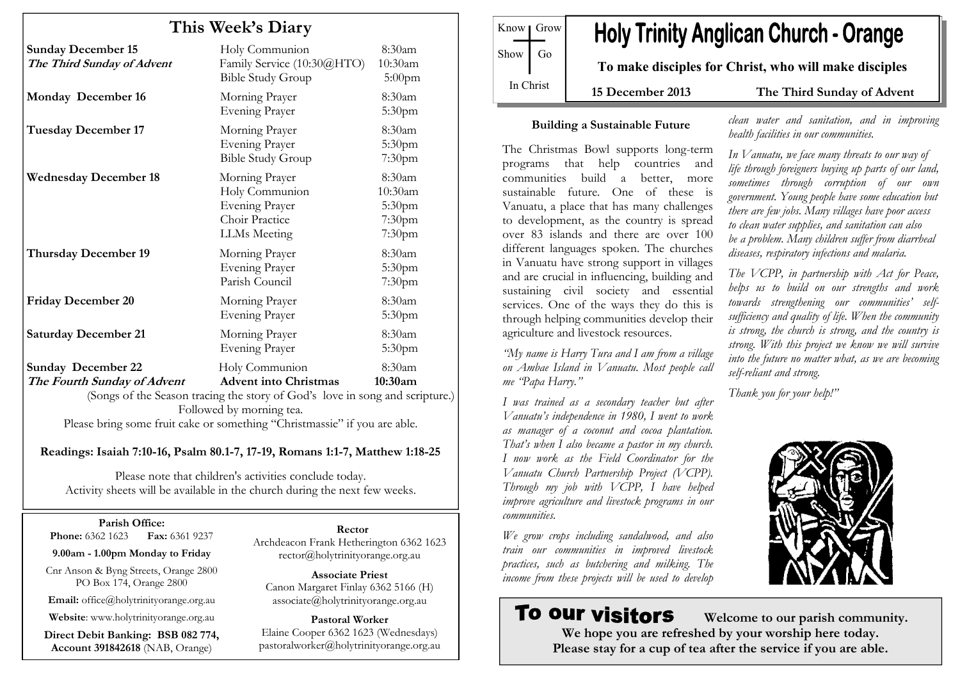# This Week's Diary

| <b>Sunday December 15</b><br>The Third Sunday of Advent  | Holy Communion<br>Family Service (10:30@HTO)<br><b>Bible Study Group</b>                                                       | 8:30am<br>10:30am<br>5:00pm                                 |
|----------------------------------------------------------|--------------------------------------------------------------------------------------------------------------------------------|-------------------------------------------------------------|
| <b>Monday December 16</b>                                | Morning Prayer<br><b>Evening Prayer</b>                                                                                        | $8:30$ am<br>5:30 <sub>pm</sub>                             |
| <b>Tuesday December 17</b>                               | Morning Prayer<br><b>Evening Prayer</b><br><b>Bible Study Group</b>                                                            | 8:30am<br>5:30pm<br>7:30pm                                  |
| <b>Wednesday December 18</b>                             | Morning Prayer<br>Holy Communion<br><b>Evening Prayer</b><br>Choir Practice<br>LLMs Meeting                                    | 8:30am<br>10:30am<br>5:30 <sub>pm</sub><br>7:30pm<br>7:30pm |
| <b>Thursday December 19</b>                              | Morning Prayer<br><b>Evening Prayer</b><br>Parish Council                                                                      | 8:30am<br>5:30 <sub>pm</sub><br>7:30 <sub>pm</sub>          |
| <b>Friday December 20</b>                                | Morning Prayer<br><b>Evening Prayer</b>                                                                                        | 8:30am<br>5:30 <sub>pm</sub>                                |
| <b>Saturday December 21</b>                              | Morning Prayer<br><b>Evening Prayer</b>                                                                                        | 8:30am<br>5:30 <sub>pm</sub>                                |
| <b>Sunday December 22</b><br>The Fourth Sunday of Advent | Holy Communion<br><b>Advent into Christmas</b><br>(Songs of the Season tracing the story of God's love in song and scripture.) | 8:30am<br>10:30am                                           |

Followed by morning tea. Please bring some fruit cake or something "Christmassie" if you are able.

Readings: Isaiah 7:10-16, Psalm 80.1-7, 17-19, Romans 1:1-7, Matthew 1:18-25

Please note that children's activities conclude today. Activity sheets will be available in the church during the next few weeks.

#### Parish Office:

**Phone:** 6362 1623 **Fax:** 6361 9237

9.00am - 1.00pm Monday to Friday

Cnr Anson & Byng Streets, Orange 2800 PO Box 174, Orange 2800

Email: office@holytrinityorange.org.au

Website: www.holytrinityorange.org.au

Direct Debit Banking: BSB 082 774, Account 391842618 (NAB, Orange)

#### Rector

 Archdeacon Frank Hetherington 6362 1623 rector@holytrinityorange.org.au

Associate Priest Canon Margaret Finlay 6362 5166 (H) associate@holytrinityorange.org.au

Pastoral Worker Elaine Cooper 6362 1623 (Wednesdays) pastoralworker@holytrinityorange.org.au

Know Grow Show  $\log$ In Christ

# **Holy Trinity Anglican Church - Orange**

To make disciples for Christ, who will make disciples

15 December 2013 The Third Sunday of Advent

clean water and sanitation, and in improving

In Vanuatu, we face many threats to our way of life through foreigners buying up parts of our land, sometimes through corruption of our own government. Young people have some education but there are few jobs. Many villages have poor access to clean water supplies, and sanitation can also be a problem. Many children suffer from diarrheal diseases, respiratory infections and malaria.

The VCPP, in partnership with Act for Peace, helps us to build on our strengths and work towards strengthening our communities' selfsufficiency and quality of life. When the community is strong, the church is strong, and the country is strong. With this project we know we will survive into the future no matter what, as we are becoming

health facilities in our communities.

#### Building a Sustainable Future

The Christmas Bowl supports long-term programs that help countries and communities build a better, more sustainable future. One of these is Vanuatu, a place that has many challenges to development, as the country is spread over 83 islands and there are over 100 different languages spoken. The churches in Vanuatu have strong support in villages and are crucial in influencing, building and sustaining civil society and essential services. One of the ways they do this is through helping communities develop their agriculture and livestock resources.

"My name is Harry Tura and I am from a village on Ambae Island in Vanuatu. Most people call me "Papa Harry."

I was trained as a secondary teacher but after Vanuatu's independence in 1980, I went to work as manager of a coconut and cocoa plantation. That's when I also became a pastor in my church. I now work as the Field Coordinator for the Vanuatu Church Partnership Project (VCPP). Through my job with VCPP, I have helped improve agriculture and livestock programs in our communities.

We grow crops including sandalwood, and also train our communities in improved livestock practices, such as butchering and milking. The income from these projects will be used to develop

# To our visitors

self-reliant and strong.

Thank you for your help!"



 Welcome to our parish community. We hope you are refreshed by your worship here today. Please stay for a cup of tea after the service if you are able.